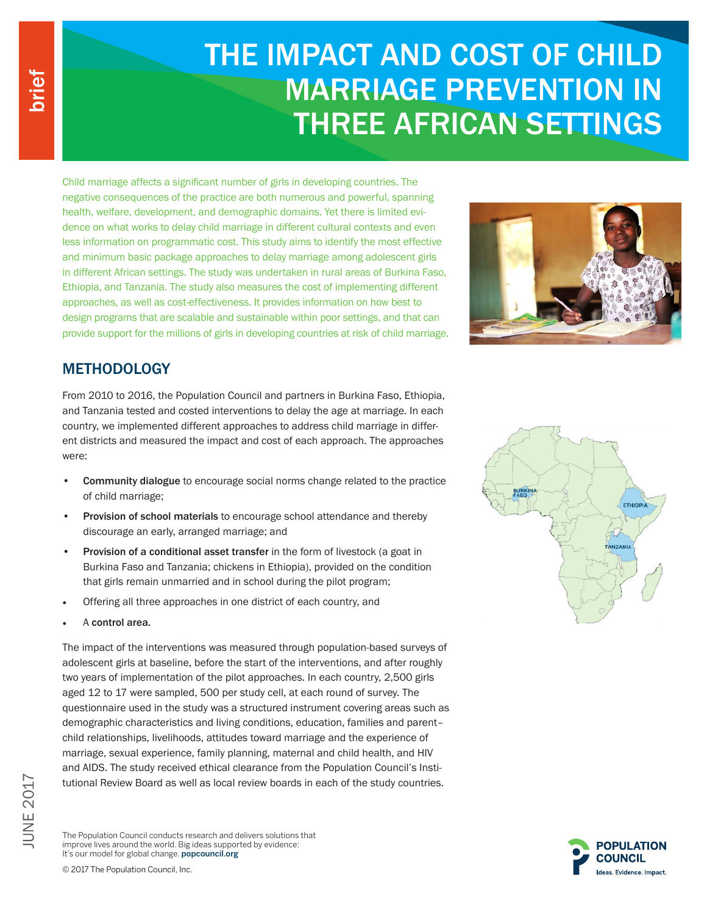# THE IMPACT AND COST OF CHILD MARRIAGE PREVENTION IN THREE AFRICAN SETTINGS

Child marriage affects a significant number of girls in developing countries. The negative consequences of the practice are both numerous and powerful, spanning health, welfare, development, and demographic domains. Yet there is limited evidence on what works to delay child marriage in different cultural contexts and even less information on programmatic cost. This study aims to identify the most effective and minimum basic package approaches to delay marriage among adolescent girls in different African settings. The study was undertaken in rural areas of Burkina Faso, Ethiopia, and Tanzania. The study also measures the cost of implementing different approaches, as well as cost-effectiveness. It provides information on how best to design programs that are scalable and sustainable within poor settings, and that can provide support for the millions of girls in developing countries at risk of child marriage.



## **METHODOLOGY**

From 2010 to 2016, the Population Council and partners in Burkina Faso, Ethiopia, and Tanzania tested and costed interventions to delay the age at marriage. In each country, we implemented different approaches to address child marriage in different districts and measured the impact and cost of each approach. The approaches were:

- Community dialogue to encourage social norms change related to the practice of child marriage;
- Provision of school materials to encourage school attendance and thereby discourage an early, arranged marriage; and
- Provision of a conditional asset transfer in the form of livestock (a goat in Burkina Faso and Tanzania; chickens in Ethiopia), provided on the condition that girls remain unmarried and in school during the pilot program;
- Offering all three approaches in one district of each country, and
- A control area.

The impact of the interventions was measured through population-based surveys of adolescent girls at baseline, before the start of the interventions, and after roughly two years of implementation of the pilot approaches. In each country, 2,500 girls aged 12 to 17 were sampled, 500 per study cell, at each round of survey. The questionnaire used in the study was a structured instrument covering areas such as demographic characteristics and living conditions, education, families and parent– child relationships, livelihoods, attitudes toward marriage and the experience of marriage, sexual experience, family planning, maternal and child health, and HIV and AIDS. The study received ethical clearance from the Population Council's Institutional Review Board as well as local review boards in each of the study countries.

ETHIOPIA **ANZANI** 





The Population Council conducts research and delivers solutions that improve lives around the world. Big ideas supported by evidence: It's our model for global change. popcouncil.org

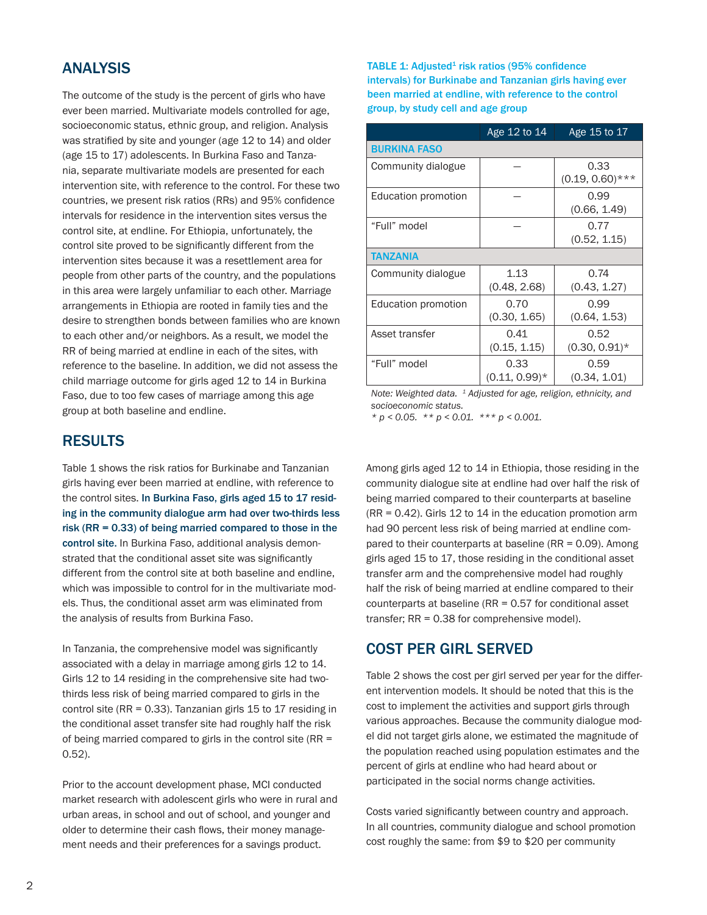## ANALYSIS

The outcome of the study is the percent of girls who have ever been married. Multivariate models controlled for age, socioeconomic status, ethnic group, and religion. Analysis was stratified by site and younger (age 12 to 14) and older (age 15 to 17) adolescents. In Burkina Faso and Tanzania, separate multivariate models are presented for each intervention site, with reference to the control. For these two countries, we present risk ratios (RRs) and 95% confidence intervals for residence in the intervention sites versus the control site, at endline. For Ethiopia, unfortunately, the control site proved to be significantly different from the intervention sites because it was a resettlement area for people from other parts of the country, and the populations in this area were largely unfamiliar to each other. Marriage arrangements in Ethiopia are rooted in family ties and the desire to strengthen bonds between families who are known to each other and/or neighbors. As a result, we model the RR of being married at endline in each of the sites, with reference to the baseline. In addition, we did not assess the child marriage outcome for girls aged 12 to 14 in Burkina Faso, due to too few cases of marriage among this age group at both baseline and endline.

## RESULTS

Table 1 shows the risk ratios for Burkinabe and Tanzanian girls having ever been married at endline, with reference to the control sites. In Burkina Faso, girls aged 15 to 17 residing in the community dialogue arm had over two-thirds less risk (RR = 0.33) of being married compared to those in the control site. In Burkina Faso, additional analysis demonstrated that the conditional asset site was significantly different from the control site at both baseline and endline, which was impossible to control for in the multivariate models. Thus, the conditional asset arm was eliminated from the analysis of results from Burkina Faso.

In Tanzania, the comprehensive model was significantly associated with a delay in marriage among girls 12 to 14. Girls 12 to 14 residing in the comprehensive site had twothirds less risk of being married compared to girls in the control site (RR = 0.33). Tanzanian girls 15 to 17 residing in the conditional asset transfer site had roughly half the risk of being married compared to girls in the control site (RR = 0.52).

Prior to the account development phase, MCI conducted market research with adolescent girls who were in rural and urban areas, in school and out of school, and younger and older to determine their cash flows, their money management needs and their preferences for a savings product.

TABLE 1: Adjusted $1$  risk ratios (95% confidence intervals) for Burkinabe and Tanzanian girls having ever been married at endline, with reference to the control group, by study cell and age group

|                     | Age 12 to 14                                 | Age 15 to 17               |  |  |
|---------------------|----------------------------------------------|----------------------------|--|--|
| <b>BURKINA FASO</b> |                                              |                            |  |  |
| Community dialogue  |                                              | 0.33<br>$(0.19, 0.60)$ *** |  |  |
| Education promotion |                                              | 0.99<br>(0.66, 1.49)       |  |  |
| "Full" model        |                                              | 0.77<br>(0.52, 1.15)       |  |  |
| <b>TANZANIA</b>     |                                              |                            |  |  |
| Community dialogue  | 1.13<br>(0.48, 2.68)                         | 0.74<br>(0.43, 1.27)       |  |  |
| Education promotion | 0.70<br>0.99<br>(0.30, 1.65)<br>(0.64, 1.53) |                            |  |  |
| Asset transfer      | 0.41<br>(0.15, 1.15)                         | 0.52<br>$(0.30, 0.91)^*$   |  |  |
| "Full" model        | 0.33<br>$(0.11, 0.99)^*$                     | 0.59<br>(0.34, 1.01)       |  |  |

*Note: Weighted data. 1 Adjusted for age, religion, ethnicity, and socioeconomic status.*

*\* p < 0.05. \*\* p < 0.01. \*\*\* p < 0.001.*

Among girls aged 12 to 14 in Ethiopia, those residing in the community dialogue site at endline had over half the risk of being married compared to their counterparts at baseline (RR = 0.42). Girls 12 to 14 in the education promotion arm had 90 percent less risk of being married at endline compared to their counterparts at baseline (RR = 0.09). Among girls aged 15 to 17, those residing in the conditional asset transfer arm and the comprehensive model had roughly half the risk of being married at endline compared to their counterparts at baseline (RR = 0.57 for conditional asset transfer; RR = 0.38 for comprehensive model).

## COST PER GIRL SERVED

Table 2 shows the cost per girl served per year for the different intervention models. It should be noted that this is the cost to implement the activities and support girls through various approaches. Because the community dialogue model did not target girls alone, we estimated the magnitude of the population reached using population estimates and the percent of girls at endline who had heard about or participated in the social norms change activities.

Costs varied significantly between country and approach. In all countries, community dialogue and school promotion cost roughly the same: from \$9 to \$20 per community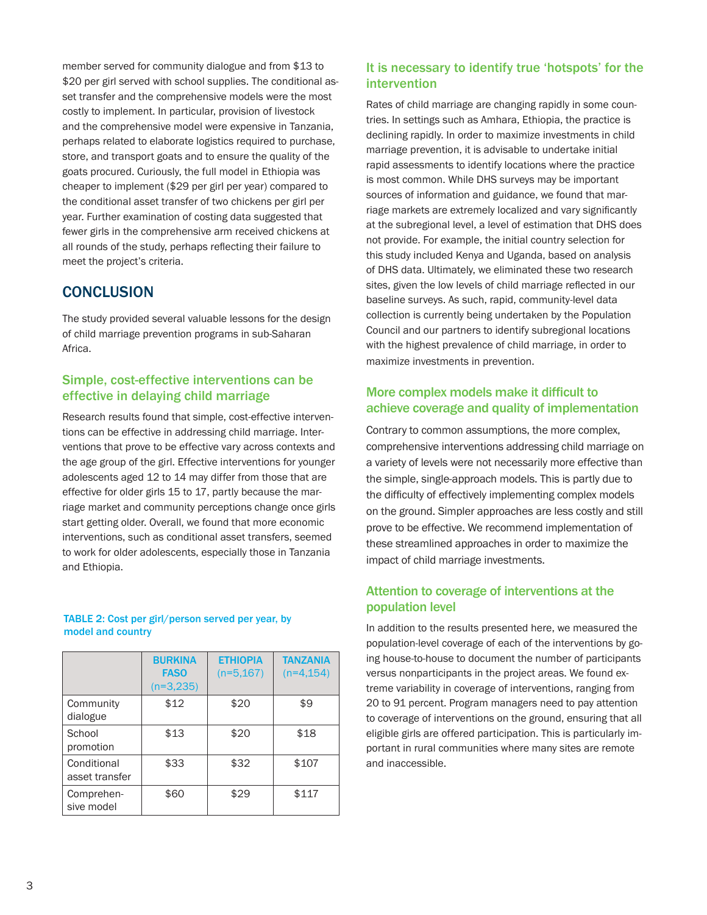member served for community dialogue and from \$13 to \$20 per girl served with school supplies. The conditional asset transfer and the comprehensive models were the most costly to implement. In particular, provision of livestock and the comprehensive model were expensive in Tanzania, perhaps related to elaborate logistics required to purchase, store, and transport goats and to ensure the quality of the goats procured. Curiously, the full model in Ethiopia was cheaper to implement (\$29 per girl per year) compared to the conditional asset transfer of two chickens per girl per year. Further examination of costing data suggested that fewer girls in the comprehensive arm received chickens at all rounds of the study, perhaps reflecting their failure to meet the project's criteria.

## **CONCLUSION**

The study provided several valuable lessons for the design of child marriage prevention programs in sub-Saharan Africa.

#### Simple, cost-effective interventions can be effective in delaying child marriage

Research results found that simple, cost-effective interventions can be effective in addressing child marriage. Interventions that prove to be effective vary across contexts and the age group of the girl. Effective interventions for younger adolescents aged 12 to 14 may differ from those that are effective for older girls 15 to 17, partly because the marriage market and community perceptions change once girls start getting older. Overall, we found that more economic interventions, such as conditional asset transfers, seemed to work for older adolescents, especially those in Tanzania and Ethiopia.

TABLE 2: Cost per girl/person served per year, by model and country

|                               | <b>BURKINA</b><br><b>FASO</b><br>$(n=3,235)$ | <b>ETHIOPIA</b><br>$(n=5, 167)$ | <b>TANZANIA</b><br>$(n=4, 154)$ |
|-------------------------------|----------------------------------------------|---------------------------------|---------------------------------|
| Community<br>dialogue         | \$12                                         | \$20                            | \$9                             |
| School<br>promotion           | \$13                                         | \$20                            | \$18                            |
| Conditional<br>asset transfer | \$33                                         | \$32                            | \$107                           |
| Comprehen-<br>sive model      | \$60                                         | \$29                            | \$117                           |

#### It is necessary to identify true 'hotspots' for the intervention

Rates of child marriage are changing rapidly in some countries. In settings such as Amhara, Ethiopia, the practice is declining rapidly. In order to maximize investments in child marriage prevention, it is advisable to undertake initial rapid assessments to identify locations where the practice is most common. While DHS surveys may be important sources of information and guidance, we found that marriage markets are extremely localized and vary significantly at the subregional level, a level of estimation that DHS does not provide. For example, the initial country selection for this study included Kenya and Uganda, based on analysis of DHS data. Ultimately, we eliminated these two research sites, given the low levels of child marriage reflected in our baseline surveys. As such, rapid, community-level data collection is currently being undertaken by the Population Council and our partners to identify subregional locations with the highest prevalence of child marriage, in order to maximize investments in prevention.

#### More complex models make it difficult to achieve coverage and quality of implementation

Contrary to common assumptions, the more complex, comprehensive interventions addressing child marriage on a variety of levels were not necessarily more effective than the simple, single-approach models. This is partly due to the difficulty of effectively implementing complex models on the ground. Simpler approaches are less costly and still prove to be effective. We recommend implementation of these streamlined approaches in order to maximize the impact of child marriage investments.

#### Attention to coverage of interventions at the population level

In addition to the results presented here, we measured the population-level coverage of each of the interventions by going house-to-house to document the number of participants versus nonparticipants in the project areas. We found extreme variability in coverage of interventions, ranging from 20 to 91 percent. Program managers need to pay attention to coverage of interventions on the ground, ensuring that all eligible girls are offered participation. This is particularly important in rural communities where many sites are remote and inaccessible.